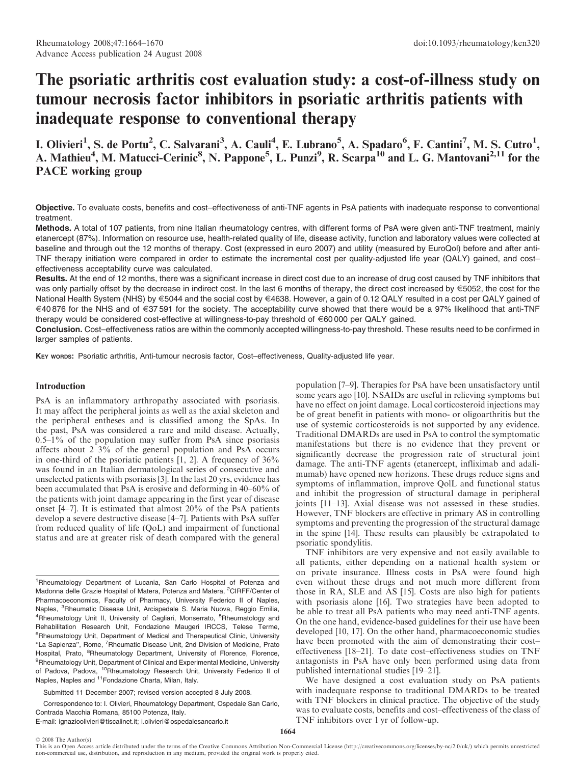# The psoriatic arthritis cost evaluation study: a cost-of-illness study on tumour necrosis factor inhibitors in psoriatic arthritis patients with inadequate response to conventional therapy

I. Olivieri<sup>1</sup>, S. de Portu<sup>2</sup>, C. Salvarani<sup>3</sup>, A. Cauli<sup>4</sup>, E. Lubrano<sup>5</sup>, A. Spadaro<sup>6</sup>, F. Cantini<sup>7</sup>, M. S. Cutro<sup>1</sup>, A. Mathieu<sup>4</sup>, M. Matucci-Cerinic<sup>8</sup>, N. Pappone<sup>5</sup>, L. Punzi<sup>9</sup>, R. Scarpa<sup>10</sup> and L. G. Mantovani<sup>2,11</sup> for the PACE working group

Objective. To evaluate costs, benefits and cost–effectiveness of anti-TNF agents in PsA patients with inadequate response to conventional treatment.

Methods. A total of 107 patients, from nine Italian rheumatology centres, with different forms of PsA were given anti-TNF treatment, mainly etanercept (87%). Information on resource use, health-related quality of life, disease activity, function and laboratory values were collected at baseline and through out the 12 months of therapy. Cost (expressed in euro 2007) and utility (measured by EuroQol) before and after anti-TNF therapy initiation were compared in order to estimate the incremental cost per quality-adjusted life year (QALY) gained, and cost– effectiveness acceptability curve was calculated.

Results. At the end of 12 months, there was a significant increase in direct cost due to an increase of drug cost caused by TNF inhibitors that was only partially offset by the decrease in indirect cost. In the last 6 months of therapy, the direct cost increased by  $\epsilon$ 5052, the cost for the National Health System (NHS) by €5044 and the social cost by €4638. However, a gain of 0.12 QALY resulted in a cost per QALY gained of €40876 for the NHS and of €37 591 for the society. The acceptability curve showed that there would be a 97% likelihood that anti-TNF therapy would be considered cost-effective at willingness-to-pay threshold of E60 000 per QALY gained.

Conclusion. Cost–effectiveness ratios are within the commonly accepted willingness-to-pay threshold. These results need to be confirmed in larger samples of patients.

KEY WORDS: Psoriatic arthritis, Anti-tumour necrosis factor, Cost–effectiveness, Quality-adjusted life year.

## Introduction

PsA is an inflammatory arthropathy associated with psoriasis. It may affect the peripheral joints as well as the axial skeleton and the peripheral entheses and is classified among the SpAs. In the past, PsA was considered a rare and mild disease. Actually,  $0.5-1\%$  of the population may suffer from PsA since psoriasis affects about 2–3% of the general population and PsA occurs in one-third of the psoriatic patients [1, 2]. A frequency of 36% was found in an Italian dermatological series of consecutive and unselected patients with psoriasis [3]. In the last 20 yrs, evidence has been accumulated that PsA is erosive and deforming in 40–60% of the patients with joint damage appearing in the first year of disease onset [4–7]. It is estimated that almost 20% of the PsA patients develop a severe destructive disease [4–7]. Patients with PsA suffer from reduced quality of life (QoL) and impairment of functional status and are at greater risk of death compared with the general

Submitted 11 December 2007; revised version accepted 8 July 2008.

Correspondence to: I. Olivieri, Rheumatology Department, Ospedale San Carlo, Contrada Macchia Romana, 85100 Potenza, Italy.

E-mail: ignazioolivieri@tiscalinet.it; i.olivieri@ospedalesancarlo.it

population [7–9]. Therapies for PsA have been unsatisfactory until some years ago [10]. NSAIDs are useful in relieving symptoms but have no effect on joint damage. Local corticosteroid injections may be of great benefit in patients with mono- or oligoarthritis but the use of systemic corticosteroids is not supported by any evidence. Traditional DMARDs are used in PsA to control the symptomatic manifestations but there is no evidence that they prevent or significantly decrease the progression rate of structural joint damage. The anti-TNF agents (etanercept, infliximab and adalimumab) have opened new horizons. These drugs reduce signs and symptoms of inflammation, improve QolL and functional status and inhibit the progression of structural damage in peripheral joints [11–13]. Axial disease was not assessed in these studies. However, TNF blockers are effective in primary AS in controlling symptoms and preventing the progression of the structural damage in the spine [14]. These results can plausibly be extrapolated to psoriatic spondylitis.

TNF inhibitors are very expensive and not easily available to all patients, either depending on a national health system or on private insurance. Illness costs in PsA were found high even without these drugs and not much more different from those in RA, SLE and AS [15]. Costs are also high for patients with psoriasis alone [16]. Two strategies have been adopted to be able to treat all PsA patients who may need anti-TNF agents. On the one hand, evidence-based guidelines for their use have been developed [10, 17]. On the other hand, pharmacoeconomic studies have been promoted with the aim of demonstrating their cost– effectiveness [18–21]. To date cost–effectiveness studies on TNF antagonists in PsA have only been performed using data from published international studies [19–21].

We have designed a cost evaluation study on PsA patients with inadequate response to traditional DMARDs to be treated with TNF blockers in clinical practice. The objective of the study was to evaluate costs, benefits and cost–effectiveness of the class of TNF inhibitors over 1 yr of follow-up.

<sup>&</sup>lt;sup>1</sup>Rheumatology Department of Lucania, San Carlo Hospital of Potenza and Madonna delle Grazie Hospital of Matera, Potenza and Matera, <sup>2</sup>CIRFF/Center of Pharmacoeconomics, Faculty of Pharmacy, University Federico II of Naples, Naples, <sup>3</sup>Rheumatic Disease Unit, Arcispedale S. Maria Nuova, Reggio Emilia, <sup>4</sup>Rheumatology Unit II, University of Cagliari, Monserrato, <sup>5</sup>Rheumatology and Rehabilitation Research Unit, Fondazione Maugeri IRCCS, Telese Terme, <sup>6</sup>Rheumatology Unit, Department of Medical and Therapeutical Clinic, University "La Sapienza", Rome, <sup>7</sup>Rheumatic Disease Unit, 2nd Division of Medicine, Prato Hospital, Prato, <sup>8</sup>Rheumatology Department, University of Florence, Florence, <sup>9</sup>Rheumatology Unit, Department of Clinical and Experimental Medicine, University of Padova, Padova, <sup>10</sup>Rheumatology Research Unit, University Federico II of Naples, Naples and 11Fondazione Charta, Milan, Italy.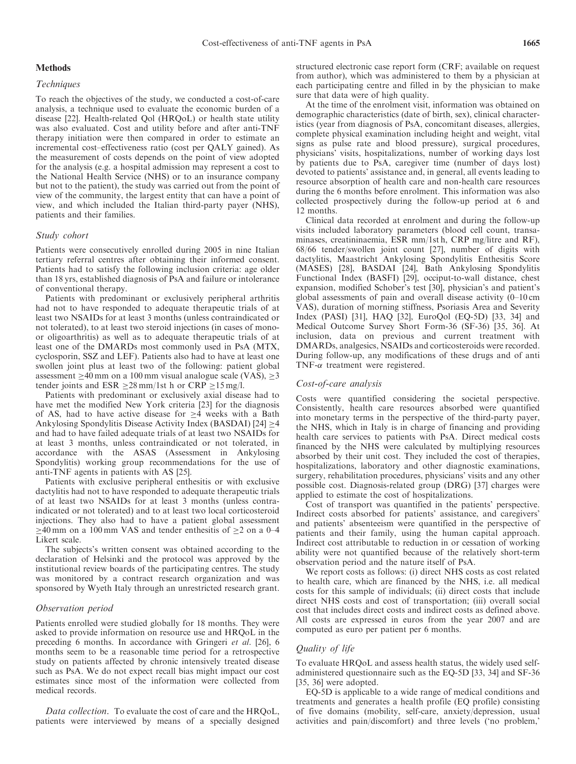## Methods

## Techniques

To reach the objectives of the study, we conducted a cost-of-care analysis, a technique used to evaluate the economic burden of a disease [22]. Health-related Qol (HRQoL) or health state utility was also evaluated. Cost and utility before and after anti-TNF therapy initiation were then compared in order to estimate an incremental cost–effectiveness ratio (cost per QALY gained). As the measurement of costs depends on the point of view adopted for the analysis (e.g. a hospital admission may represent a cost to the National Health Service (NHS) or to an insurance company but not to the patient), the study was carried out from the point of view of the community, the largest entity that can have a point of view, and which included the Italian third-party payer (NHS), patients and their families.

## Study cohort

Patients were consecutively enrolled during 2005 in nine Italian tertiary referral centres after obtaining their informed consent. Patients had to satisfy the following inclusion criteria: age older than 18 yrs, established diagnosis of PsA and failure or intolerance of conventional therapy.

Patients with predominant or exclusively peripheral arthritis had not to have responded to adequate therapeutic trials of at least two NSAIDs for at least 3 months (unless contraindicated or not tolerated), to at least two steroid injections (in cases of monoor oligoarthritis) as well as to adequate therapeutic trials of at least one of the DMARDs most commonly used in PsA (MTX, cyclosporin, SSZ and LEF). Patients also had to have at least one swollen joint plus at least two of the following: patient global assessment  $>40$  mm on a 100 mm visual analogue scale (VAS),  $>3$ tender joints and ESR  $\geq$  28 mm/1st h or CRP  $\geq$  15 mg/l.

Patients with predominant or exclusively axial disease had to have met the modified New York criteria [23] for the diagnosis of AS, had to have active disease for  $\geq$ 4 weeks with a Bath Ankylosing Spondylitis Disease Activity Index (BASDAI)  $[24] \geq 4$ and had to have failed adequate trials of at least two NSAIDs for at least 3 months, unless contraindicated or not tolerated, in accordance with the ASAS (Assessment in Ankylosing Spondylitis) working group recommendations for the use of anti-TNF agents in patients with AS [25].

Patients with exclusive peripheral enthesitis or with exclusive dactylitis had not to have responded to adequate therapeutic trials of at least two NSAIDs for at least 3 months (unless contraindicated or not tolerated) and to at least two local corticosteroid injections. They also had to have a patient global assessment  $\geq$ 40 mm on a 100 mm VAS and tender enthesitis of  $\geq$ 2 on a 0–4 Likert scale.

The subjects's written consent was obtained according to the declaration of Helsinki and the protocol was approved by the institutional review boards of the participating centres. The study was monitored by a contract research organization and was sponsored by Wyeth Italy through an unrestricted research grant.

## Observation period

Patients enrolled were studied globally for 18 months. They were asked to provide information on resource use and HRQoL in the preceding 6 months. In accordance with Gringeri et al. [26], 6 months seem to be a reasonable time period for a retrospective study on patients affected by chronic intensively treated disease such as PsA. We do not expect recall bias might impact our cost estimates since most of the information were collected from medical records.

Data collection. To evaluate the cost of care and the HRQoL, patients were interviewed by means of a specially designed structured electronic case report form (CRF; available on request from author), which was administered to them by a physician at each participating centre and filled in by the physician to make sure that data were of high quality.

At the time of the enrolment visit, information was obtained on demographic characteristics (date of birth, sex), clinical characteristics (year from diagnosis of PsA, concomitant diseases, allergies, complete physical examination including height and weight, vital signs as pulse rate and blood pressure), surgical procedures, physicians' visits, hospitalizations, number of working days lost by patients due to PsA, caregiver time (number of days lost) devoted to patients' assistance and, in general, all events leading to resource absorption of health care and non-health care resources during the 6 months before enrolment. This information was also collected prospectively during the follow-up period at 6 and 12 months.

Clinical data recorded at enrolment and during the follow-up visits included laboratory parameters (blood cell count, transaminases, creatininaemia, ESR mm/1st h, CRP mg/litre and RF), 68/66 tender/swollen joint count [27], number of digits with dactylitis, Maastricht Ankylosing Spondylitis Enthesitis Score (MASES) [28], BASDAI [24], Bath Ankylosing Spondylitis Functional Index (BASFI) [29], occiput-to-wall distance, chest expansion, modified Schober's test [30], physician's and patient's global assessments of pain and overall disease activity (0–10 cm VAS), duration of morning stiffness, Psoriasis Area and Severity Index (PASI) [31], HAQ [32], EuroQol (EQ-5D) [33, 34] and Medical Outcome Survey Short Form-36 (SF-36) [35, 36]. At inclusion, data on previous and current treatment with DMARDs, analgesics, NSAIDs and corticosteroids were recorded. During follow-up, any modifications of these drugs and of anti TNF- $\alpha$  treatment were registered.

## Cost-of-care analysis

Costs were quantified considering the societal perspective. Consistently, health care resources absorbed were quantified into monetary terms in the perspective of the third-party payer, the NHS, which in Italy is in charge of financing and providing health care services to patients with PsA. Direct medical costs financed by the NHS were calculated by multiplying resources absorbed by their unit cost. They included the cost of therapies, hospitalizations, laboratory and other diagnostic examinations, surgery, rehabilitation procedures, physicians' visits and any other possible cost. Diagnosis-related group (DRG) [37] charges were applied to estimate the cost of hospitalizations.

Cost of transport was quantified in the patients' perspective. Indirect costs absorbed for patients' assistance, and caregivers' and patients' absenteeism were quantified in the perspective of patients and their family, using the human capital approach. Indirect cost attributable to reduction in or cessation of working ability were not quantified because of the relatively short-term observation period and the nature itself of PsA.

We report costs as follows: (i) direct NHS costs as cost related to health care, which are financed by the NHS, i.e. all medical costs for this sample of individuals; (ii) direct costs that include direct NHS costs and cost of transportation; (iii) overall social cost that includes direct costs and indirect costs as defined above. All costs are expressed in euros from the year 2007 and are computed as euro per patient per 6 months.

## Quality of life

To evaluate HRQoL and assess health status, the widely used selfadministered questionnaire such as the EQ-5D [33, 34] and SF-36 [35, 36] were adopted.

EQ-5D is applicable to a wide range of medical conditions and treatments and generates a health profile (EQ profile) consisting of five domains (mobility, self-care, anxiety/depression, usual activities and pain/discomfort) and three levels ('no problem,'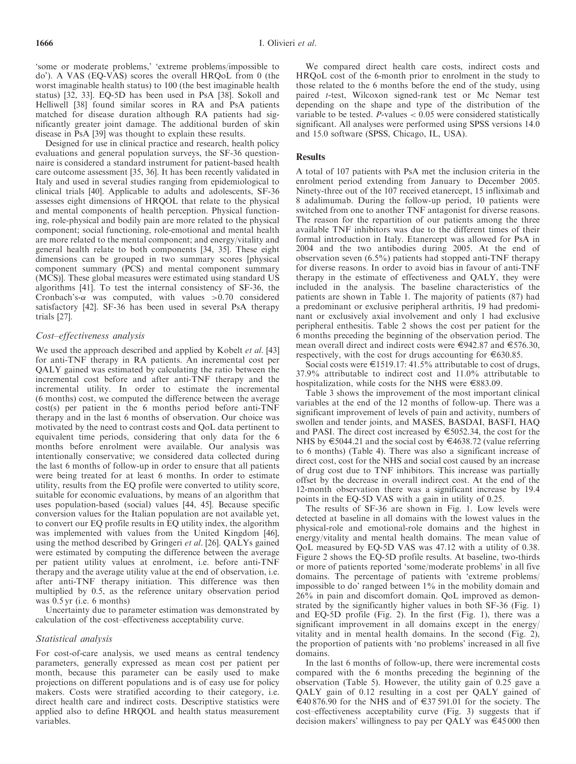'some or moderate problems,' 'extreme problems/impossible to do'). A VAS (EQ-VAS) scores the overall HRQoL from 0 (the worst imaginable health status) to 100 (the best imaginable health status) [32, 33]. EQ-5D has been used in PsA [38]. Sokoll and Helliwell [38] found similar scores in RA and PsA patients matched for disease duration although RA patients had significantly greater joint damage. The additional burden of skin disease in PsA [39] was thought to explain these results.

Designed for use in clinical practice and research, health policy evaluations and general population surveys, the SF-36 questionnaire is considered a standard instrument for patient-based health care outcome assessment [35, 36]. It has been recently validated in Italy and used in several studies ranging from epidemiological to clinical trials [40]. Applicable to adults and adolescents, SF-36 assesses eight dimensions of HRQOL that relate to the physical and mental components of health perception. Physical functioning, role-physical and bodily pain are more related to the physical component; social functioning, role-emotional and mental health are more related to the mental component; and energy/vitality and general health relate to both components [34, 35]. These eight dimensions can be grouped in two summary scores [physical component summary (PCS) and mental component summary (MCS)]. These global measures were estimated using standard US algorithms [41]. To test the internal consistency of SF-36, the Cronbach's- $\alpha$  was computed, with values  $>0.70$  considered satisfactory [42]. SF-36 has been used in several PsA therapy trials [27].

# Cost–effectiveness analysis

We used the approach described and applied by Kobelt et al. [43] for anti-TNF therapy in RA patients. An incremental cost per QALY gained was estimated by calculating the ratio between the incremental cost before and after anti-TNF therapy and the incremental utility. In order to estimate the incremental (6 months) cost, we computed the difference between the average cost(s) per patient in the 6 months period before anti-TNF therapy and in the last 6 months of observation. Our choice was motivated by the need to contrast costs and QoL data pertinent to equivalent time periods, considering that only data for the 6 months before enrolment were available. Our analysis was intentionally conservative; we considered data collected during the last 6 months of follow-up in order to ensure that all patients were being treated for at least 6 months. In order to estimate utility, results from the EQ profile were converted to utility score, suitable for economic evaluations, by means of an algorithm that uses population-based (social) values [44, 45]. Because specific conversion values for the Italian population are not available yet, to convert our EQ profile results in EQ utility index, the algorithm was implemented with values from the United Kingdom [46], using the method described by Gringeri et al. [26]. QALYs gained were estimated by computing the difference between the average per patient utility values at enrolment, i.e. before anti-TNF therapy and the average utility value at the end of observation, i.e. after anti-TNF therapy initiation. This difference was then multiplied by 0.5, as the reference unitary observation period was 0.5 yr (i.e. 6 months)

Uncertainty due to parameter estimation was demonstrated by calculation of the cost–effectiveness acceptability curve.

## Statistical analysis

For cost-of-care analysis, we used means as central tendency parameters, generally expressed as mean cost per patient per month, because this parameter can be easily used to make projections on different populations and is of easy use for policy makers. Costs were stratified according to their category, i.e. direct health care and indirect costs. Descriptive statistics were applied also to define HRQOL and health status measurement variables.

We compared direct health care costs, indirect costs and HRQoL cost of the 6-month prior to enrolment in the study to those related to the 6 months before the end of the study, using paired t-test, Wilcoxon signed-rank test or Mc Nemar test depending on the shape and type of the distribution of the variable to be tested.  $P$ -values  $\lt 0.05$  were considered statistically significant. All analyses were performed using SPSS versions 14.0 and 15.0 software (SPSS, Chicago, IL, USA).

## Results

A total of 107 patients with PsA met the inclusion criteria in the enrolment period extending from January to December 2005. Ninety-three out of the 107 received etanercept, 15 infliximab and 8 adalimumab. During the follow-up period, 10 patients were switched from one to another TNF antagonist for diverse reasons. The reason for the repartition of our patients among the three available TNF inhibitors was due to the different times of their formal introduction in Italy. Etanercept was allowed for PsA in 2004 and the two antibodies during 2005. At the end of observation seven (6.5%) patients had stopped anti-TNF therapy for diverse reasons. In order to avoid bias in favour of anti-TNF therapy in the estimate of effectiveness and QALY, they were included in the analysis. The baseline characteristics of the patients are shown in Table 1. The majority of patients (87) had a predominant or exclusive peripheral arthritis, 19 had predominant or exclusively axial involvement and only 1 had exclusive peripheral enthesitis. Table 2 shows the cost per patient for the 6 months preceding the beginning of the observation period. The mean overall direct and indirect costs were  $\epsilon$ 942.87 and  $\epsilon$ 576.30, respectively, with the cost for drugs accounting for  $\epsilon$ 630.85.

Social costs were  $\epsilon$ 1519.17: 41.5% attributable to cost of drugs, 37.9% attributable to indirect cost and 11.0% attributable to hospitalization, while costs for the NHS were E883.09.

Table 3 shows the improvement of the most important clinical variables at the end of the 12 months of follow-up. There was a significant improvement of levels of pain and activity, numbers of swollen and tender joints, and MASES, BASDAI, BASFI, HAQ and PASI. The direct cost increased by  $\epsilon$ 5052.34, the cost for the NHS by E5044.21 and the social cost by E4638.72 (value referring to 6 months) (Table 4). There was also a significant increase of direct cost, cost for the NHS and social cost caused by an increase of drug cost due to TNF inhibitors. This increase was partially offset by the decrease in overall indirect cost. At the end of the 12-month observation there was a significant increase by 19.4 points in the EQ-5D VAS with a gain in utility of 0.25.

The results of SF-36 are shown in Fig. 1. Low levels were detected at baseline in all domains with the lowest values in the physical-role and emotional-role domains and the highest in energy/vitality and mental health domains. The mean value of QoL measured by EQ-5D VAS was 47.12 with a utility of 0.38. Figure 2 shows the EQ-5D profile results. At baseline, two-thirds or more of patients reported 'some/moderate problems' in all five domains. The percentage of patients with 'extreme problems/ impossible to do' ranged between 1% in the mobility domain and 26% in pain and discomfort domain. QoL improved as demonstrated by the significantly higher values in both SF-36 (Fig. 1) and EQ-5D profile (Fig. 2). In the first (Fig. 1), there was a significant improvement in all domains except in the energy/ vitality and in mental health domains. In the second (Fig. 2), the proportion of patients with 'no problems' increased in all five domains.

In the last 6 months of follow-up, there were incremental costs compared with the 6 months preceding the beginning of the observation (Table 5). However, the utility gain of 0.25 gave a QALY gain of 0.12 resulting in a cost per QALY gained of  $\epsilon$ 40 876.90 for the NHS and of  $\epsilon$ 37 591.01 for the society. The cost–effectiveness acceptability curve (Fig. 3) suggests that if decision makers' willingness to pay per QALY was  $\epsilon$ 45000 then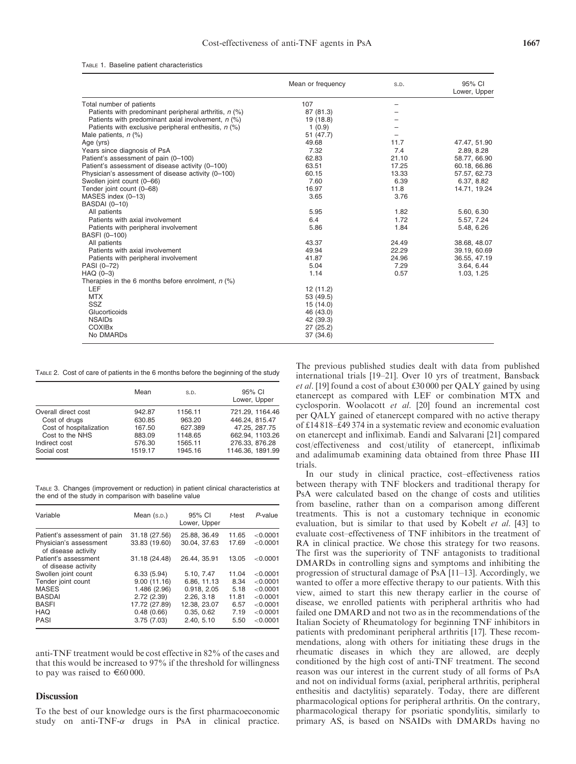|  |  |  | TABLE 1. Baseline patient characteristics |
|--|--|--|-------------------------------------------|
|--|--|--|-------------------------------------------|

|                                                         | Mean or frequency | S.D.  | 95% CI<br>Lower, Upper |
|---------------------------------------------------------|-------------------|-------|------------------------|
| Total number of patients                                | 107               | -     |                        |
| Patients with predominant peripheral arthritis, $n$ (%) | 87 (81.3)         |       |                        |
| Patients with predominant axial involvement, $n$ (%)    | 19 (18.8)         |       |                        |
| Patients with exclusive peripheral enthesitis, $n$ (%)  | 1(0.9)            |       |                        |
| Male patients, $n$ (%)                                  | 51 (47.7)         |       |                        |
| Age (yrs)                                               | 49.68             | 11.7  | 47.47, 51.90           |
| Years since diagnosis of PsA                            | 7.32              | 7.4   | 2.89, 8.28             |
| Patient's assessment of pain (0-100)                    | 62.83             | 21.10 | 58.77, 66.90           |
| Patient's assessment of disease activity (0-100)        | 63.51             | 17.25 | 60.18, 66.86           |
| Physician's assessment of disease activity (0-100)      | 60.15             | 13.33 | 57.57, 62.73           |
| Swollen joint count (0-66)                              | 7.60              | 6.39  | 6.37, 8.82             |
| Tender joint count (0-68)                               | 16.97             | 11.8  | 14.71, 19.24           |
| MASES index (0-13)                                      | 3.65              | 3.76  |                        |
| <b>BASDAI</b> (0-10)                                    |                   |       |                        |
| All patients                                            | 5.95              | 1.82  | 5.60, 6.30             |
| Patients with axial involvement                         | 6.4               | 1.72  | 5.57, 7.24             |
| Patients with peripheral involvement                    | 5.86              | 1.84  | 5.48, 6.26             |
| BASFI (0-100)                                           |                   |       |                        |
| All patients                                            | 43.37             | 24.49 | 38.68, 48.07           |
| Patients with axial involvement                         | 49.94             | 22.29 | 39.19, 60.69           |
| Patients with peripheral involvement                    | 41.87             | 24.96 | 36.55, 47.19           |
| PASI (0-72)                                             | 5.04              | 7.29  | 3.64, 6.44             |
| $HAQ(0-3)$                                              | 1.14              | 0.57  | 1.03, 1.25             |
| Therapies in the 6 months before enrolment, $n$ (%)     |                   |       |                        |
| LEF                                                     | 12 (11.2)         |       |                        |
| <b>MTX</b>                                              | 53 (49.5)         |       |                        |
| SSZ                                                     | 15(14.0)          |       |                        |
| Glucorticoids                                           | 46 (43.0)         |       |                        |
| <b>NSAIDs</b>                                           | 42 (39.3)         |       |                        |
| <b>COXIBx</b>                                           | 27 (25.2)         |       |                        |
| No DMARDs                                               | 37 (34.6)         |       |                        |

TABLE 2. Cost of care of patients in the 6 months before the beginning of the study

|                         | Mean    | S.D.    | 95% CI<br>Lower, Upper |
|-------------------------|---------|---------|------------------------|
| Overall direct cost     | 942.87  | 1156.11 | 721.29. 1164.46        |
| Cost of drugs           | 630.85  | 963.20  | 446.24, 815.47         |
| Cost of hospitalization | 167.50  | 627.389 | 47.25, 287.75          |
| Cost to the NHS         | 883.09  | 1148.65 | 662.94.1103.26         |
| Indirect cost           | 576.30  | 1565.11 | 276.33, 876.28         |
| Social cost             | 1519.17 | 1945.16 | 1146.36. 1891.99       |

TABLE 3. Changes (improvement or reduction) in patient clinical characteristics at the end of the study in comparison with baseline value

| Variable                                      | Mean $(s.p.)$ | 95% CI<br>Lower, Upper | t-test | $P$ -value |
|-----------------------------------------------|---------------|------------------------|--------|------------|
| Patient's assessment of pain                  | 31.18 (27.56) | 25.88, 36.49           | 11.65  | < 0.0001   |
| Physician's assessment<br>of disease activity | 33.83 (19.60) | 30.04.37.63            | 17.69  | < 0.0001   |
| Patient's assessment<br>of disease activity   | 31.18 (24.48) | 26.44.35.91            | 13.05  | < 0.0001   |
| Swollen joint count                           | 6.33(5.94)    | 5.10. 7.47             | 11.04  | < 0.0001   |
| Tender joint count                            | 9.00(11.16)   | 6.86, 11.13            | 8.34   | < 0.0001   |
| <b>MASES</b>                                  | 1.486 (2.96)  | 0.918, 2.05            | 5.18   | < 0.0001   |
| <b>BASDAI</b>                                 | 2.72(2.39)    | 2.26. 3.18             | 11.81  | < 0.0001   |
| <b>BASFI</b>                                  | 17.72 (27.89) | 12.38, 23.07           | 6.57   | < 0.0001   |
| <b>HAQ</b>                                    | 0.48(0.66)    | 0.35.0.62              | 7.19   | < 0.0001   |
| PASI                                          | 3.75(7.03)    | 2.40, 5.10             | 5.50   | < 0.0001   |

anti-TNF treatment would be cost effective in 82% of the cases and that this would be increased to 97% if the threshold for willingness to pay was raised to  $\epsilon$ 60 000.

# **Discussion**

To the best of our knowledge ours is the first pharmacoeconomic study on anti-TNF- $\alpha$  drugs in PsA in clinical practice.

The previous published studies dealt with data from published international trials [19–21]. Over 10 yrs of treatment, Bansback et al. [19] found a cost of about £30 000 per QALY gained by using etanercept as compared with LEF or combination MTX and cyclosporin. Woolacott et al. [20] found an incremental cost per QALY gained of etanercept compared with no active therapy of £14 818–£49 374 in a systematic review and economic evaluation on etanercept and infliximab. Eandi and Salvarani [21] compared cost/effectiveness and cost/utility of etanercept, infliximab and adalimumab examining data obtained from three Phase III trials.

In our study in clinical practice, cost–effectiveness ratios between therapy with TNF blockers and traditional therapy for PsA were calculated based on the change of costs and utilities from baseline, rather than on a comparison among different treatments. This is not a customary technique in economic evaluation, but is similar to that used by Kobelt et al. [43] to evaluate cost–effectiveness of TNF inhibitors in the treatment of RA in clinical practice. We chose this strategy for two reasons. The first was the superiority of TNF antagonists to traditional DMARDs in controlling signs and symptoms and inhibiting the progression of structural damage of PsA [11–13]. Accordingly, we wanted to offer a more effective therapy to our patients. With this view, aimed to start this new therapy earlier in the course of disease, we enrolled patients with peripheral arthritis who had failed one DMARD and not two as in the recommendations of the Italian Society of Rheumatology for beginning TNF inhibitors in patients with predominant peripheral arthritis [17]. These recommendations, along with others for initiating these drugs in the rheumatic diseases in which they are allowed, are deeply conditioned by the high cost of anti-TNF treatment. The second reason was our interest in the current study of all forms of PsA and not on individual forms (axial, peripheral arthritis, peripheral enthesitis and dactylitis) separately. Today, there are different pharmacological options for peripheral arthritis. On the contrary, pharmacological therapy for psoriatic spondylitis, similarly to primary AS, is based on NSAIDs with DMARDs having no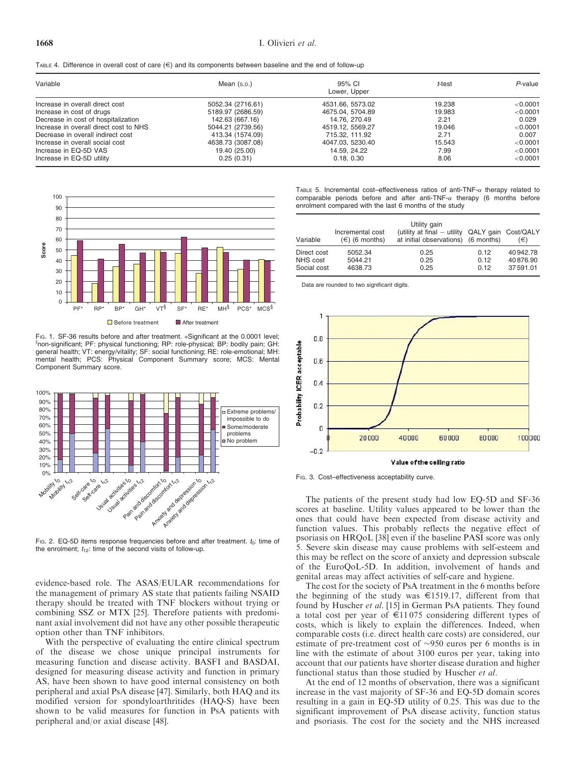|  |  |  |  |  |  | TABLE 4. Difference in overall cost of care $(\epsilon)$ and its components between baseline and the end of follow-up |  |  |  |  |  |  |
|--|--|--|--|--|--|-----------------------------------------------------------------------------------------------------------------------|--|--|--|--|--|--|
|--|--|--|--|--|--|-----------------------------------------------------------------------------------------------------------------------|--|--|--|--|--|--|

| Variable                               | Mean (s.p.)       | 95% CI<br>Lower, Upper | t-test | P-value  |  |
|----------------------------------------|-------------------|------------------------|--------|----------|--|
| Increase in overall direct cost        | 5052.34 (2716.61) | 4531.66, 5573.02       | 19.238 | < 0.0001 |  |
| Increase in cost of drugs              | 5189.97 (2686.59) | 4675.04, 5704.89       | 19.983 | < 0.0001 |  |
| Decrease in cost of hospitalization    | 142.63 (667.16)   | 14.76, 270.49          | 2.21   | 0.029    |  |
| Increase in overall direct cost to NHS | 5044.21 (2739.56) | 4519.12. 5569.27       | 19.046 | < 0.0001 |  |
| Decrease in overall indirect cost      | 413.34 (1574.09)  | 715.32, 111.92         | 2.71   | 0.007    |  |
| Increase in overall social cost        | 4638.73 (3087.08) | 4047.03, 5230.40       | 15.543 | < 0.0001 |  |
| Increase in EQ-5D VAS                  | 19.40 (25.00)     | 14.59, 24.22           | 7.99   | < 0.0001 |  |
| Increase in EQ-5D utility              | 0.25(0.31)        | 0.18, 0.30             | 8.06   | < 0.0001 |  |



FIG. 1. SF-36 results before and after treatment. \*Significant at the 0.0001 level; non-significant; PF: physical functioning; RP: role-physical; BP: bodily pain; GH: general health; VT: energy/vitality; SF: social functioning; RE: role-emotional; MH: mental health; PCS: Physical Component Summary score; MCS: Mental Component Summary score.



FIG. 2. EQ-5D items response frequencies before and after treatment.  $t_0$ : time of the enrolment;  $t_{12}$ : time of the second visits of follow-up.

evidence-based role. The ASAS/EULAR recommendations for the management of primary AS state that patients failing NSAID therapy should be treated with TNF blockers without trying or combining SSZ or MTX [25]. Therefore patients with predominant axial involvement did not have any other possible therapeutic option other than TNF inhibitors.

With the perspective of evaluating the entire clinical spectrum of the disease we chose unique principal instruments for measuring function and disease activity. BASFI and BASDAI, designed for measuring disease activity and function in primary AS, have been shown to have good internal consistency on both peripheral and axial PsA disease [47]. Similarly, both HAQ and its modified version for spondyloarthritides (HAQ-S) have been shown to be valid measures for function in PsA patients with peripheral and/or axial disease [48].

TABLE 5. Incremental cost-effectiveness ratios of anti-TNF- $\alpha$  therapy related to comparable periods before and after anti-TNF- $\alpha$  therapy (6 months before enrolment compared with the last 6 months of the study

| Variable    | Incremental cost<br>$(\in)$ (6 months) | Utility gain<br>(utility at final - utility QALY gain Cost/QALY<br>at initial observations) (6 months) |      | (€)       |
|-------------|----------------------------------------|--------------------------------------------------------------------------------------------------------|------|-----------|
| Direct cost | 5052.34                                | 0.25                                                                                                   | 0.12 | 40 942.78 |
| NHS cost    | 5044.21                                | 0.25                                                                                                   | 0.12 | 40876.90  |
| Social cost | 4638.73                                | 0.25                                                                                                   | 0.12 | 37591.01  |

Data are rounded to two significant digits.



Fig. 3. Cost-effectiveness acceptability curve.

The patients of the present study had low EQ-5D and SF-36 scores at baseline. Utility values appeared to be lower than the ones that could have been expected from disease activity and function values. This probably reflects the negative effect of psoriasis on HRQoL [38] even if the baseline PASI score was only 5. Severe skin disease may cause problems with self-esteem and this may be reflect on the score of anxiety and depression subscale of the EuroQoL-5D. In addition, involvement of hands and genital areas may affect activities of self-care and hygiene.

The cost for the society of PsA treatment in the 6 months before the beginning of the study was  $\epsilon$ 1519.17, different from that found by Huscher et al. [15] in German PsA patients. They found a total cost per year of  $\epsilon$ 11075 considering different types of costs, which is likely to explain the differences. Indeed, when comparable costs (i.e. direct health care costs) are considered, our estimate of pre-treatment cost of  $\sim$ 950 euros per 6 months is in line with the estimate of about 3100 euros per year, taking into account that our patients have shorter disease duration and higher functional status than those studied by Huscher et al.

At the end of 12 months of observation, there was a significant increase in the vast majority of SF-36 and EQ-5D domain scores resulting in a gain in EQ-5D utility of 0.25. This was due to the significant improvement of PsA disease activity, function status and psoriasis. The cost for the society and the NHS increased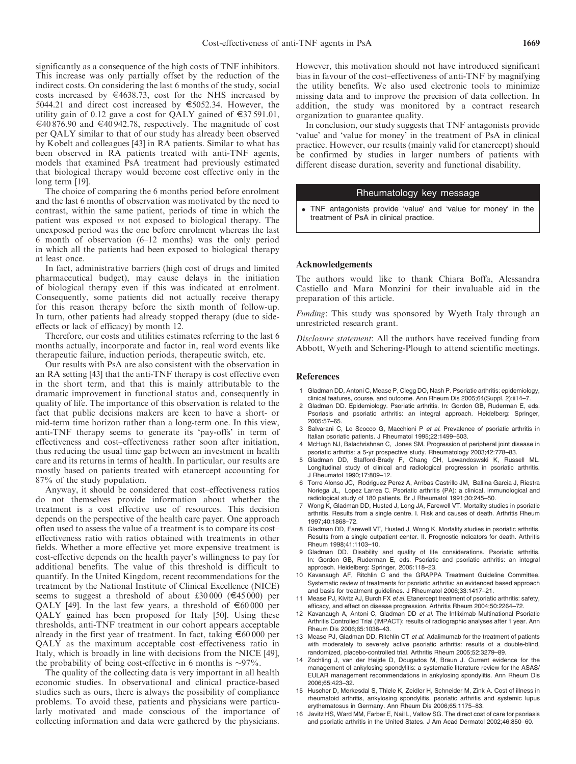significantly as a consequence of the high costs of TNF inhibitors. This increase was only partially offset by the reduction of the indirect costs. On considering the last 6 months of the study, social costs increased by  $\epsilon$ 4638.73, cost for the NHS increased by 5044.21 and direct cost increased by E5052.34. However, the utility gain of 0.12 gave a cost for OALY gained of  $\epsilon$ 37 591.01,  $\epsilon$ 40 876.90 and  $\epsilon$ 40 942.78, respectively. The magnitude of cost per QALY similar to that of our study has already been observed by Kobelt and colleagues [43] in RA patients. Similar to what has been observed in RA patients treated with anti-TNF agents, models that examined PsA treatment had previously estimated that biological therapy would become cost effective only in the long term [19].

The choice of comparing the 6 months period before enrolment and the last 6 months of observation was motivated by the need to contrast, within the same patient, periods of time in which the patient was exposed vs not exposed to biological therapy. The unexposed period was the one before enrolment whereas the last 6 month of observation (6–12 months) was the only period in which all the patients had been exposed to biological therapy at least once.

In fact, administrative barriers (high cost of drugs and limited pharmaceutical budget), may cause delays in the initiation of biological therapy even if this was indicated at enrolment. Consequently, some patients did not actually receive therapy for this reason therapy before the sixth month of follow-up. In turn, other patients had already stopped therapy (due to sideeffects or lack of efficacy) by month 12.

Therefore, our costs and utilities estimates referring to the last 6 months actually, incorporate and factor in, real word events like therapeutic failure, induction periods, therapeutic switch, etc.

Our results with PsA are also consistent with the observation in an RA setting [43] that the anti-TNF therapy is cost effective even in the short term, and that this is mainly attributable to the dramatic improvement in functional status and, consequently in quality of life. The importance of this observation is related to the fact that public decisions makers are keen to have a short- or mid-term time horizon rather than a long-term one. In this view, anti-TNF therapy seems to generate its 'pay-offs' in term of effectiveness and cost–effectiveness rather soon after initiation, thus reducing the usual time gap between an investment in health care and its returns in terms of health. In particular, our results are mostly based on patients treated with etanercept accounting for 87% of the study population.

Anyway, it should be considered that cost–effectiveness ratios do not themselves provide information about whether the treatment is a cost effective use of resources. This decision depends on the perspective of the health care payer. One approach often used to assess the value of a treatment is to compare its cost– effectiveness ratio with ratios obtained with treatments in other fields. Whether a more effective yet more expensive treatment is cost-effective depends on the health payer's willingness to pay for additional benefits. The value of this threshold is difficult to quantify. In the United Kingdom, recent recommendations for the treatment by the National Institute of Clinical Excellence (NICE) seems to suggest a threshold of about £30 000 ( $\in$ 45 000) per QALY [49]. In the last few years, a threshold of  $\epsilon$ 60 000 per QALY gained has been proposed for Italy [50]. Using these thresholds, anti-TNF treatment in our cohort appears acceptable already in the first year of treatment. In fact, taking  $\epsilon$ 60 000 per QALY as the maximum acceptable cost–effectiveness ratio in Italy, which is broadly in line with decisions from the NICE [49], the probability of being cost-effective in 6 months is  $\sim$ 97%.

The quality of the collecting data is very important in all health economic studies. In observational and clinical practice-based studies such as ours, there is always the possibility of compliance problems. To avoid these, patients and physicians were particularly motivated and made conscious of the importance of collecting information and data were gathered by the physicians.

However, this motivation should not have introduced significant bias in favour of the cost–effectiveness of anti-TNF by magnifying the utility benefits. We also used electronic tools to minimize missing data and to improve the precision of data collection. In addition, the study was monitored by a contract research organization to guarantee quality.

In conclusion, our study suggests that TNF antagonists provide 'value' and 'value for money' in the treatment of PsA in clinical practice. However, our results (mainly valid for etanercept) should be confirmed by studies in larger numbers of patients with different disease duration, severity and functional disability.

# Rheumatology key message

 TNF antagonists provide 'value' and 'value for money' in the treatment of PsA in clinical practice.

#### Acknowledgements

The authors would like to thank Chiara Boffa, Alessandra Castiello and Mara Monzini for their invaluable aid in the preparation of this article.

Funding: This study was sponsored by Wyeth Italy through an unrestricted research grant.

Disclosure statement: All the authors have received funding from Abbott, Wyeth and Schering-Plough to attend scientific meetings.

#### References

- 1 Gladman DD, Antoni C, Mease P, Clegg DO, Nash P. Psoriatic arthritis: epidemiology, clinical features, course, and outcome. Ann Rheum Dis 2005;64(Suppl. 2):ii14–7.
- 2 Gladman DD. Epidemiology. Psoriatic arthritis. In: Gordon GB, Ruderman E, eds. Psoriasis and psoriatic arthritis: an integral approach. Heidelberg: Springer, 2005:57–65.
- 3 Salvarani C, Lo Scocco G, Macchioni P et al. Prevalence of psoriatic arthritis in Italian psoriatic patients. J Rheumatol 1995;22:1499–503.
- 4 McHugh NJ, Balachrishnan C, Jones SM. Progression of peripheral joint disease in psoriatic arthritis: a 5-yr prospective study. Rheumatology 2003;42:778–83.
- 5 Gladman DD, Stafford-Brady F, Chang CH, Lewandoswski K, Russell ML. Longitudinal study of clinical and radiological progression in psoriatic arthritis. J Rheumatol 1990;17:809–12.
- 6 Torre Alonso JC, Rodriguez Perez A, Arribas Castrillo JM, Ballina Garcia J, Riestra Noriega JL, Lopez Larrea C. Psoriatic arthritis (PA): a clinical, immunological and radiological study of 180 patients. Br J Rheumatol 1991;30:245–50.
- 7 Wong K, Gladman DD, Husted J, Long JA, Farewell VT. Mortality studies in psoriatic arthritis. Results from a single centre. I. Risk and causes of death. Arthritis Rheum 1997;40:1868–72.
- 8 Gladman DD, Farewell VT, Husted J, Wong K. Mortality studies in psoriatic arthritis. Results from a single outpatient center. II. Prognostic indicators for death. Arthritis Rheum 1998;41:1103–10.
- 9 Gladman DD. Disability and quality of life considerations. Psoriatic arthritis In: Gordon GB, Ruderman E, eds. Psoriatic and psoriatic arthritis: an integral approach. Heidelberg: Springer, 2005:118–23.
- 10 Kavanaugh AF, Ritchlin C and the GRAPPA Treatment Guideline Committee. Systematic review of treatments for psoriatic arthritis: an evidenced based approach and basis for treatment guidelines. J Rheumatol 2006;33:1417–21.
- 11 Mease PJ, Kivitz AJ, Burch FX et al. Etanercept treatment of psoriatic arthritis: safety, efficacy, and effect on disease progression. Arthritis Rheum 2004;50:2264–72.
- 12 Kavanaugh A, Antoni C, Gladman DD et al. The Infliximab Multinational Psoriatic Arthritis Controlled Trial (IMPACT): results of radiographic analyses after 1 year. Ann Rheum Dis 2006;65:1038–43.
- 13 Mease PJ, Gladman DD, Ritchlin CT et al. Adalimumab for the treatment of patients with moderately to severely active psoriatic arthritis: results of a double-blind, randomized, placebo-controlled trial. Arthritis Rheum 2005;52:3279–89.
- 14 Zochling J, van der Heijde D, Dougados M, Braun J. Current evidence for the management of ankylosing spondylitis: a systematic literature review for the ASAS/ EULAR management recommendations in ankylosing spondylitis. Ann Rheum Dis 2006;65:423–32.
- 15 Huscher D, Merkesdal S, Thiele K, Zeidler H, Schneider M, Zink A. Cost of illness in rheumatoid arthritis, ankylosing spondylitis, psoriatic arthritis and systemic lupus erythematosus in Germany. Ann Rheum Dis 2006;65:1175–83.
- 16 Javitz HS, Ward MM, Farber E, Nail L, Vallow SG. The direct cost of care for psoriasis and psoriatic arthritis in the United States. J Am Acad Dermatol 2002;46:850–60.